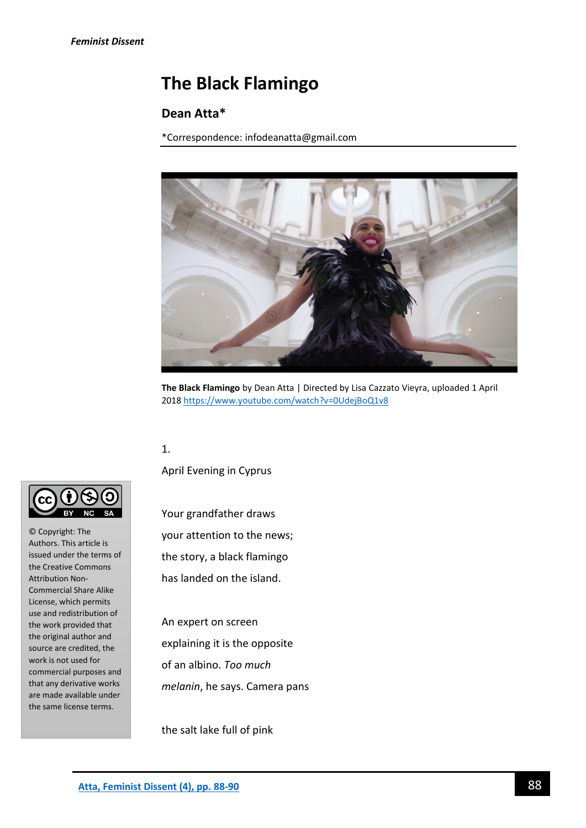# **The Black Flamingo**

## **Dean Atta\***

\*Correspondence: infodeanatta@gmail.com



**The Black Flamingo** by Dean Atta | Directed by Lisa Cazzato Vieyra, uploaded 1 April 201[8 https://www.youtube.com/watch?v=0UdejBoQ1v8](https://www.youtube.com/watch?v=0UdejBoQ1v8)

## 1.

April Evening in Cyprus

Your grandfather draws your attention to the news; the story, a black flamingo has landed on the island.

An expert on screen explaining it is the opposite of an albino. *Too much melanin*, he says. Camera pans

the salt lake full of pink



© Copyright: The Authors. This article is issued under the terms of the Creative Commons Attribution Non-Commercial Share Alike License, which permits use and redistribution of the work provided that the original author and source are credited, the work is not used for commercial purposes and that any derivative works are made available under the same license terms.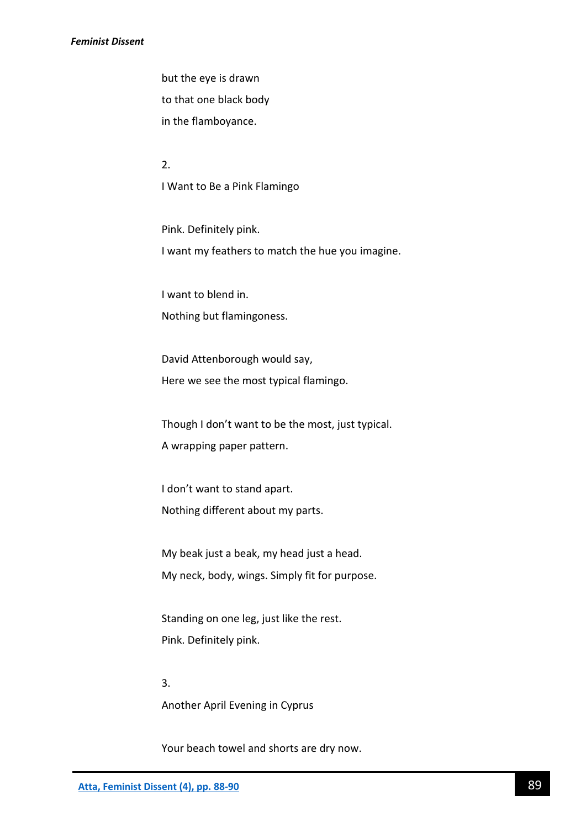#### *Feminist Dissent*

but the eye is drawn to that one black body in the flamboyance.

2. I Want to Be a Pink Flamingo

Pink. Definitely pink. I want my feathers to match the hue you imagine.

I want to blend in. Nothing but flamingoness.

David Attenborough would say, Here we see the most typical flamingo.

Though I don't want to be the most, just typical. A wrapping paper pattern.

I don't want to stand apart. Nothing different about my parts.

My beak just a beak, my head just a head. My neck, body, wings. Simply fit for purpose.

Standing on one leg, just like the rest. Pink. Definitely pink.

3. Another April Evening in Cyprus

Your beach towel and shorts are dry now.